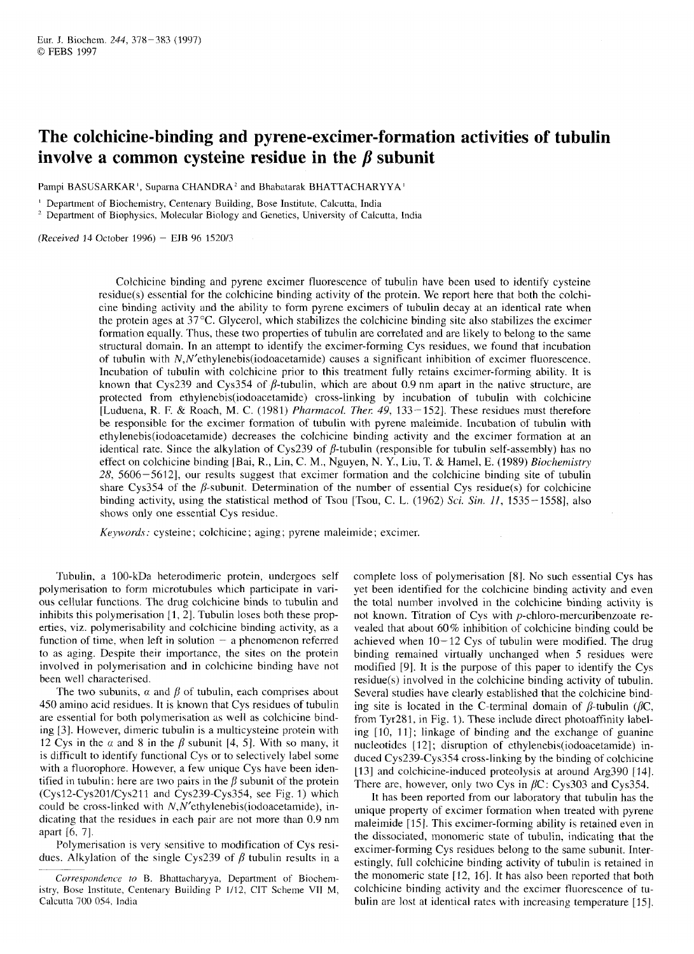# **The colchicine-binding and pyrene-excimer-formation activities of tubulin in** J. Biochem. 244, 378–383 (1997)<br> **The colchicine-binding and pyrene-excimer-formation activities of tubulin<br>
<b>involve a common cysteine residue in the**  $\beta$  **subunit**<br>
Pampi BASUSARKAR', Suparna CHANDRA<sup>2</sup> and Bhabatara The colchicine-binding and pyrene-excimer-formation activities of tubulin<br>
involve a common cysteine residue in the  $\beta$  subunit<br>
Pampi BASUSARKAR', Suparna CHANDRA<sup>2</sup> and Bhabatarak BHATTACHARYYA'<br><sup>1</sup> Department of Bioch

Pampi BASUSARKAR', Suparna CHANDRA' and Bhabatarak BHATTACHARYYA'

<sup>2</sup> Department of Biophysics, Molecular Biology and Genetics, University of Calcutta, India

 $(Received 14 October 1996) - EJB 96 1520/3$ 

Colchicine binding and pyrene excimer fluorescence of tubulin have been used to identify cysteine residue(s) essential for the colchicine binding activity of the protein. We report here that both the colchicine binding activity and the ability to form pyrene excimers of tubulin decay at an identical rate when the protein ages at  $37^{\circ}$ C. Glycerol, which stabilizes the colchicine binding site also stabilizes the excimer formation equally. Thus, these two properties of tubulin are correlated and are likely to belong *to* the same structural domain. In an attempt to identify the excimer-forming Cys residues, we found that incubation Colemiche binding and pyrene excimer fluorescence or tubulin have been used to dentity cysteine<br>residue(s) essential for the colchicine binding activity of the protein. We report here that both the colchi-<br>cine binding act Incubation of tubulin with colchicine prior to this treatment fully retains excimer-forming ability. It is known that Cys239 and Cys354 of  $\beta$ -tubulin, which are about 0.9 nm apart in the native structure, are protected from ethylenebis(iodoacetamide) cross-linking by incubation of tubulin with colchicine [Luduena, R. F. & Roach, M. C. (1981) *Pharnzacol. Ther 49,* 133-1521, These residues must therefore be responsible for the excimer formation of tubulin with pyrene maleimide. Incubation of tubulin with **ethylenebis(i0doacetamide)** decreases the colchicine binding activity and the excimer formation at an identical rate. Since the alkylation of Cys239 of  $\beta$ -tubulin (responsible for tubulin self-assembly) has no effect on colchicine binding [Bai, R., Lin, C. M., Nguyen, N. Y., Liu, T. & Hamel, E. (1989) *Biochemistry*  28, 5606-56121, our results suggest that excimer formation and the colchicine binding site of tubulin share Cys354 of the  $\beta$ -subunit. Determination of the number of essential Cys residue(s) for colchicine be responsible for the excimer formation of tubulin with pyrene maleimide. Incubation of tubulin with ethylenebis(iodoacetamide) decreases the colchicine binding activity and the excimer formation at an identical rate. Si shows only one essential Cys residue.

*Keywords:* cysteine; colchicine; aging; pyrene maleimide; excimer.

Tubulin, a 100-kDa heterodimeric protein, undergoes self polymerisation to form microtubules which participate in various cellular functions. The drug colchicine binds to tubulin and inhibits this polymerisation  $[1, 2]$ . Tubulin loses both these properties, viz. polymerisability and colchicine binding activity, as a function of time, when left in solution  $-$  a phenomenon referred to as aging. Despite their importance, the sites on the protein involved in polymerisation and in colchicine binding have not been well characterised.

The two subunits,  $\alpha$  and  $\beta$  of tubulin, each comprises about 450 amino acid residues. It is known that Cys residues of tubulin are essential for both polymerisation as well as colchicine binding *[3].* However, dimeric tubulin is a multicysteine protein with 12 Cys in the  $\alpha$  and 8 in the  $\beta$  subunit [4, 5]. With so many, it is difficult to identify functional Cys or to selectively label some with a fluorophore. However, a few unique Cys have been identified in tubulin: here are two pairs in the  $\beta$  subunit of the protein (Cys12-Cys201/Cys211 and Cys239-Cys354, see Fig. 1) which could be cross-linked with **N,N'ethyIenebis(iodoacetamide),** indicating that the residues in each pair are not more than 0.9 nm apart [6, 7].

Polymerisation is very sensitive to modification of Cys residues. Alkylation of the single Cys239 of  $\beta$  tubulin results in a

bits this polymerisation [1, 2]. Tubulin loses both these prop-<br>ond known. Titration of Cys with p-chloro-mercuribenzoate re-<br>exp. viz. polymerisability and colchicine binding activity, as a<br>vealed that about 60% inhibiti complete loss of polymerisation [8]. No such essential Cys has yet been identified for the colchicine binding activity and even the total number involved in the colchicine binding activity is not known. Titration of Cys with p-chloro-mercuribenzoate revealed that about 60% inhibition of colchicine binding could be achieved when  $10-12$  Cys of tubulin were modified. The drug complete loss of polymerisation [8]. No such essential Cys has yet been identified for the colchicine binding activity and even the total number involved in the colchicine binding activity is not known. Titration of Cys w modified [9]. It is the purpose of this paper to identify the Cys residue(s) involved in the colchicine binding activity of tubulin. Several studies have clearly established that the colchicine binding site is located in the C-terminal domain of  $\beta$ -tubulin ( $\beta$ C, from Tyr281, in Fig. 1). These include direct photoaffinity labeling [10, 11]; linkage of binding and the exchange of guanine nucleotides [12]; disruption of ethylenebis(iodoacetamide) induced Cys239-Cys354 cross-linking by the binding of colchicine 1131 and colchicine-induced proteolysis at around Arg390 [ 141. There are, however, only two Cys in  $\beta$ C: Cys303 and Cys354.

It has been reported from our laboratory that tubulin has the unique property of excimer formation when treated with pyrene maleimide [15]. This excimer-forming ability is retained even in the dissociated, monomeric state of tubulin, indicating that the excimer-forming Cys residues belong to the same subunit. Interestingly, full colchicine binding activity of tubulin is retained in the monomeric state [12, 16]. It has also been reported that both colchicine binding activity and the excimer fluorescence of tubulin are lost at identical rates with increasing temperature [15].

Correspondence to B. Bhattacharyya, Department of Biochemistry, Bose Institute, Centenary Building P 1/12, CIT Scheme VII M, Calcutta 700 054, India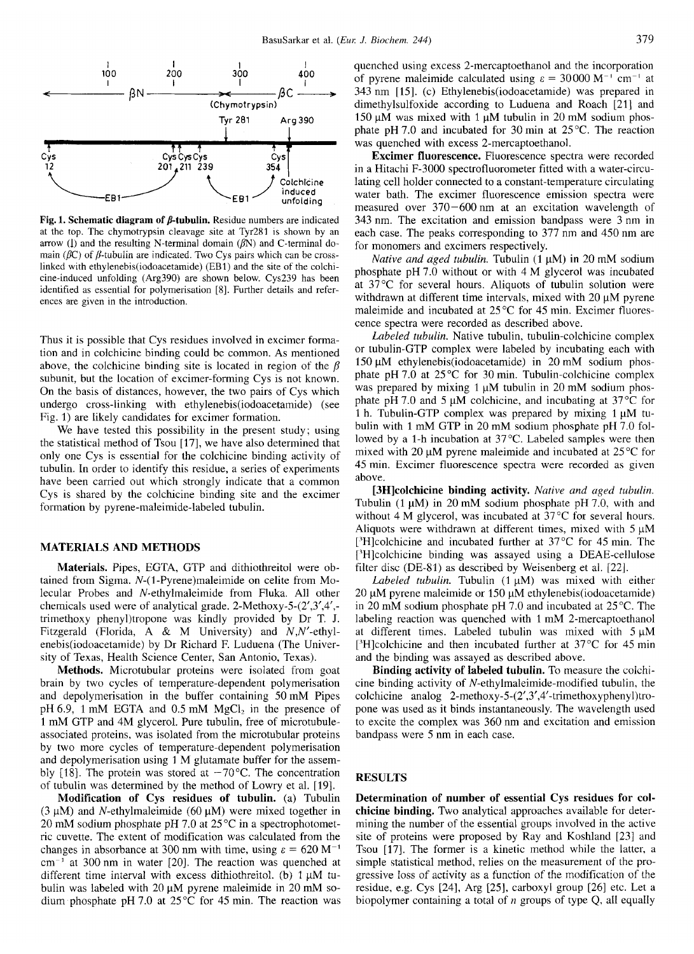

Fig. 1. Schematic diagram of  $\beta$ -tubulin. Residue numbers are indicated at the top. The chymotrypsin cleavage site at Tyr281 is shown by an arrow (1) and the resulting N-terminal domain  $(\beta N)$  and C-terminal domain ( $\beta$ C) of  $\beta$ -tubulin are indicated. Two Cys pairs which can be crosslinked with ethylenebis(iodoacetamide) (EB1) and the site of the colchicine-induced unfolding (Arg390) are shown below. Cys239 has been identified as essential for polymerisation [8]. Further details and references are given in the introduction.

Thus it is possible that Cys residues involved in excimer formation and in colchicine binding could be common. As mentioned above, the colchicine binding site is located in region of the  $\beta$ subunit, but the location of excimer-forming Cys is not known. On the basis of distances, however, the two pairs of Cys which undergo cross-linking with ethylenebis(iodoacetamide) (see Fig. 1) are likely candidates for excimer formation.

We have tested this possibility in the present study; using the statistical method of Tsou [17], we have also determined that only one Cys is essential for the colchicine binding activity of tubulin. In order to identify this residue, a series of experiments have been carried out which strongly indicate that a common Cys is shared by the colchicine binding site and the excimer formation by pyrene-maleimide-labeled tubulin.

### **MATERIALS AND METHODS**

Materials. Pipes, EGTA, GTP and dithiothreitol were obtained from Sigma. N-(1-Pyrene)maleimide on celite from Molecular Probes and N-ethylmaleimide from Fluka. All other chemicals used were of analytical grade. 2-Methoxy-5- $(2',3',4',$ trimethoxy phenyl)tropone was kindly provided by Dr T. J. Fitzgerald (Florida, A & M University) and N,N'-ethylenebis(iodoacetamide) by Dr Richard F. Luduena (The University of Texas, Health Science Center, San Antonio, Texas).

Methods. Microtubular proteins were isolated from goat brain by two cycles of temperature-dependent polymerisation and depolymerisation in the buffer containing 50 mM Pipes pH 6.9, 1 mM EGTA and 0.5 mM  $MgCl<sub>2</sub>$  in the presence of 1 mM GTP and 4M glycerol. Pure tubulin, free of microtubuleassociated proteins, was isolated from the microtubular proteins by two more cycles of temperature-dependent polymerisation and depolymerisation using 1 M glutamate buffer for the assembly [18]. The protein was stored at  $-70^{\circ}$ C. The concentration of tubulin was determined by the method of Lowry et al. [19].

Modification of Cys residues of tubulin. (a) Tubulin  $(3 \mu M)$  and *N*-ethylmaleimide  $(60 \mu M)$  were mixed together in 20 mM sodium phosphate pH 7.0 at  $25^{\circ}$ C in a spectrophotometric cuvette. The extent of modification was calculated from the changes in absorbance at 300 nm with time, using  $\varepsilon = 620 \text{ M}^{-1}$  $cm^{-1}$  at 300 nm in water [20]. The reaction was quenched at different time interval with excess dithiothreitol. (b)  $1 \mu M$  tubulin was labeled with  $20 \mu M$  pyrene maleimide in  $20 \text{ mM}$  sodium phosphate pH 7.0 at  $25^{\circ}$ C for 45 min. The reaction was quenched using excess 2-mercaptoethanol and the incorporation of pyrene maleimide calculated using  $\varepsilon = 30000 \text{ M}^{-1} \text{ cm}^{-1}$  at 343 nm [15]. (c) Ethylenebis(iodoacetamide) was prepared in dimethylsulfoxide according to Luduena and Roach [21] and 150  $\mu$ M was mixed with 1  $\mu$ M tubulin in 20 mM sodium phosphate pH 7.0 and incubated for 30 min at  $25^{\circ}$ C. The reaction was quenched with excess 2-mercaptoethanol.

Excimer fluorescence. Fluorescence spectra were recorded in a Hitachi F-3000 spectrofluorometer fitted with a water-circulating cell holder connected to a constant-temperature circulating water bath. The excimer fluorescence emission spectra were measured over  $370 - 600$  nm at an excitation wavelength of 343 nm. The excitation and emission bandpass were 3 nm in each case. The peaks corresponding to 377 nm and 450 nm are for monomers and excimers respectively.

Native and aged tubulin. Tubulin (1 µM) in 20 mM sodium phosphate pH 7.0 without or with 4 M glycerol was incubated at 37°C for several hours. Aliquots of tubulin solution were withdrawn at different time intervals, mixed with  $20 \mu M$  pyrene maleimide and incubated at 25°C for 45 min. Excimer fluorescence spectra were recorded as described above.

Labeled tubulin. Native tubulin, tubulin-colchicine complex or tubulin-GTP complex were labeled by incubating each with 150 μM ethylenebis(iodoacetamide) in 20 mM sodium phosphate pH 7.0 at 25°C for 30 min. Tubulin-colchicine complex was prepared by mixing  $1 \mu M$  tubulin in 20 mM sodium phosphate pH 7.0 and 5  $\mu$ M colchicine, and incubating at 37 °C for 1 h. Tubulin-GTP complex was prepared by mixing 1 μM tubulin with 1 mM GTP in 20 mM sodium phosphate pH 7.0 followed by a 1-h incubation at 37°C. Labeled samples were then mixed with 20  $\mu$ M pyrene maleimide and incubated at 25 °C for 45 min. Excimer fluorescence spectra were recorded as given above.

[3H]colchicine binding activity. Native and aged tubulin. Tubulin  $(1 \mu M)$  in 20 mM sodium phosphate pH 7.0, with and without 4 M glycerol, was incubated at 37°C for several hours. Aliquots were withdrawn at different times, mixed with  $5 \mu M$ [3H]colchicine and incubated further at  $37^{\circ}$ C for 45 min. The [3H]colchicine binding was assayed using a DEAE-cellulose filter disc (DE-81) as described by Weisenberg et al. [22].

Labeled tubulin. Tubulin  $(1 \mu M)$  was mixed with either  $20 \mu$ M pyrene maleimide or 150 μM ethylenebis(iodoacetamide) in 20 mM sodium phosphate pH 7.0 and incubated at  $25^{\circ}$ C. The labeling reaction was quenched with 1 mM 2-mercaptoethanol at different times. Labeled tubulin was mixed with  $5 \mu M$ [<sup>3</sup>H]colchicine and then incubated further at  $37^{\circ}$ C for 45 min and the binding was assayed as described above.

Binding activity of labeled tubulin. To measure the colchicine binding activity of N-ethylmaleimide-modified tubulin, the colchicine analog 2-methoxy-5- $(2',3',4'$ -trimethoxyphenyl)tropone was used as it binds instantaneously. The wavelength used to excite the complex was 360 nm and excitation and emission bandpass were 5 nm in each case.

# **RESULTS**

Determination of number of essential Cys residues for colchicine binding. Two analytical approaches available for determining the number of the essential groups involved in the active site of proteins were proposed by Ray and Koshland [23] and Tsou [17]. The former is a kinetic method while the latter, a simple statistical method, relies on the measurement of the progressive loss of activity as a function of the modification of the residue, e.g. Cys [24], Arg [25], carboxyl group [26] etc. Let a biopolymer containing a total of  $n$  groups of type Q, all equally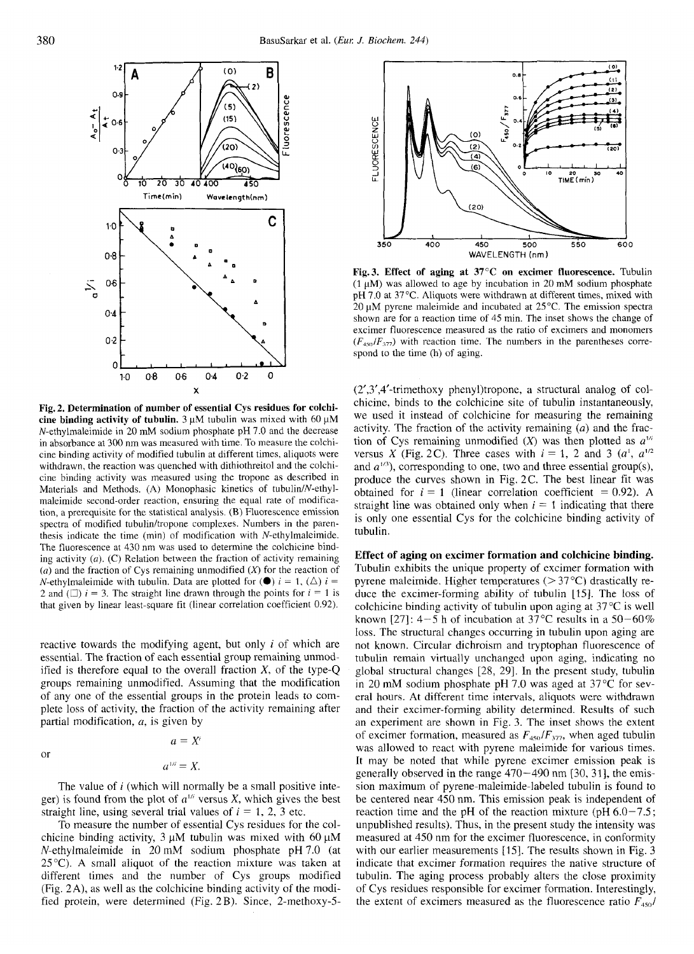

**Fig. 2. Determination of number of**  cine binding activity of tubulin.  $3 \mu M$  tubulin was mixed with 60  $\mu$ M N-ethylmaleiniide in 20 mM sodium phosphate pH 7.0 and the decrease in absorbance at 300 nm was measured with time. To measure the colchicine binding activity of modified tubulin at different times, aliquots were withdrawn, the reaction was quenched with dithiothreitol and the colchicine binding activity was measured using the tropone as described in Materials and Methods. (A) Monophasic kinetics of tubulin/N-ethylmaleimide second-order reaction, ensuring the equal rate of modification, a prerequisite for the statistical analysis. (B) Fluorescence emission spectra of modified tubulin/tropone complexes. Numbers in the parenthesis indicate the time (min) of modification with N-ethylmaleimide. The fluorescence at 430 nm was used to determine the colchicine binding activity  $(a)$ . (C) Relation between the fraction of activity remaining (*a*) and the fraction of Cys remaining unmodified (*X*) for the reaction of *N*-ethylmaleimide with tubulin. Data are plotted for ( $\bullet$ )  $i = 1$ , ( $\triangle$ )  $i =$ N-ethylmaleimide with sustainal manysis. ONTIROF is the parential Cys for the colchicine binding activity of<br>spectra of modified tubulin/tropone complexes. Numbers in the parential control tubulin.<br>The fluorescence at 430 Expectra of modified tubulin/tropone complexes. Numbers in the parential control tubulin.<br>
The fluorescence at 430 nm was used to determine the colchicine bind-<br>
ing activity (a). (C) Relation between the fraction of acti that given by linear least-square fit (linear correlation coefficient 0.92).

reactive towards the modifying agent, but only i of which are essential. The fraction of each essential group remaining unmodified is therefore equal to the overall fraction  $X$ , of the type-Q groups remaining unmodified. Assuming that the modification of any one of the essential groups in the protein leads to complete loss of activity, the fraction of the activity remaining after partial modification, *a,* is given by

or

$$
a^{1/i}=X.
$$

 $a=X^i$ 

The value of  $i$  (which will normally be a small positive integer) is found from the plot of  $a^{1/i}$  versus X, which gives the best straight line, using several trial values of  $i = 1, 2, 3$  etc.

To measure the number of essential Cys residues for the colchicine binding activity, 3 **pM** tubulin was mixed with 60 **pM**  N-ethylmaleimide in 20 mM sodium phosphate pH 7.0 (at *25°C).* A small aliquot of the reaction mixture was taken at different times and the number of Cys groups modified (Fig. 2A), as well as the colchicine binding activity of the modified protein, were determined (Fig. 2B). Since, 2-methoxy-5-



**Fig.3. Effect of aging at 37°C on excimer fluorescence.** Tubulin  $(1 \mu M)$  was allowed to age by incubation in 20 mM sodium phosphate pH 7.0 at 37°C. Aliquots were withdrawn at different times, mixed with 20  $\mu$ M pyrene maleimide and incubated at 25 °C. The emission spectra shown are for a reaction time of 45 min. The inset shows the change of excimer fluorescence measured as the ratio of excimers and monomers  $(F_{450}/F_{377})$  with reaction time. The numbers in the parentheses correspond to the time (h) of aging.

**extended into the mumbers** in the parentheses correspond to the time (h) of aging.<br> **a C**<sup>2</sup> **C**<sup>2</sup> **C**<sup>2</sup> **C**<sup>2</sup> **C**<sup>2</sup> **C**<sup>2</sup> **C**<sup>2</sup> **C**<sup>2</sup> **C**<sup>2</sup> **C**<sup>2</sup> **C**<sup>2</sup> **C**<sup>2</sup> **C**<sub>2</sub> **C**<sup>2</sup> **C**<sub>2</sub> **C**<sup>2</sup> **C**<sub>2</sub> **C**<sub>2</sub> **C**<sub>2</sub> (2',3',4'-trimethoxy phenyl)tropone, a structural analog of colchicine, binds to the colchicine site of tubulin instantaneously, we used it instead of colchicine for measuring the remaining activity. The fraction of the activity remaining *(a)* and the fraction of Cys remaining unmodified  $(X)$  was then plotted as  $a^{1/2}$ versus *X* (Fig. 2C). Three cases with  $i = 1, 2$  and 3  $(a^1, a^{1/2})$ and  $a^{1/3}$ ), corresponding to one, two and three essential group(s), produce the curves shown in Fig. 2C. The best linear fit was obtained for  $i = 1$  (linear correlation coefficient  $= 0.92$ ). A straight line was obtained only when  $i = 1$  indicating that there is only one essential Cys for the colchicine binding activity of tubulin.

**Effect of aging on excimer formation and colchicine binding.**  Tubulin exhibits the unique property of excimer formation with pyrene maleimide. Higher temperatures  $(>37^{\circ}C)$  drastically reduce the excimer-forming ability of tubulin [IS]. The loss of colchicine binding activity of tubulin upon aging at 37°C is well known [27]:  $4-5$  h of incubation at 37°C results in a 50-60% loss. The structural changes occurring in tubulin upon aging are not known. Circular dichroism and tryptophan fluorescence of tubulin remain virtually unchanged upon aging, indicating no global structural changes [28, 29]. In the present study, tubulin in 20 mM sodium phosphate pH 7.0 was aged at 37°C for several hours. At different time intervals, aliquots were withdrawn and their excimer-forming ability determined. Results of such an experiment are shown in Fig. 3. The inset shows the extent of excimer formation, measured as  $F_{450}/F_{377}$ , when aged tubulin was allowed to react with pyrene maleimide for various times. It may be noted that while pyrene excimer emission peak is generally observed in the range  $470-490$  nm  $[30, 31]$ , the emission maximum of pyrene-maleimide-labeled tubulin is found to be centered near 450 nm. This emission peak is independent of reaction time and the pH of the reaction mixture (pH  $6.0-7.5$ ; unpublished results). Thus, in the present study the intensity was measured at 450 nm for the excimer fluorescence, in conformity with our earlier measurements [15]. The results shown in Fig. 3 indicate that excimer formation requires the native structure of tubulin. The aging process probably alters the close proximity of Cys residues responsible for excimer formation. Interestingly, the extent of excimers measured as the fluorescence ratio  $F_{450}/$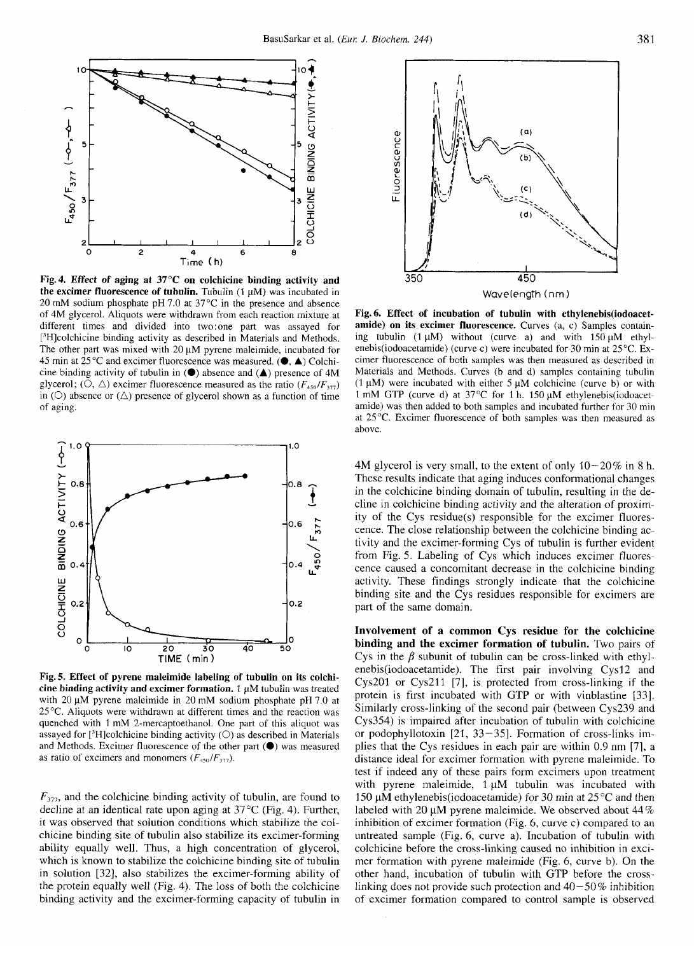

**Fig.4. Effect of aging at 37°C on colchicine binding activity and**  the excimer fluorescence of tubulin. Tubulin (1 μM) was incubated in 20 mM sodium phosphate pH 7.0 at 37°C in the presence and absence of 4M glycerol. Aliquots were withdrawn from each reaction mixture at different times and divided into two:one part was assayed for ['H]colchicine binding activity as described in Materials and Methods. The other part was mixed with  $20 \mu M$  pyrene maleimide, incubated for 45 min at 25°C and excimer fluorescence was measured. **(0, A)** Colchicine binding activity of tubulin in **(0)** absence and **(A)** presence of 4M glycerol; (O,  $\triangle$ ) excimer fluorescence measured as the ratio  $(F_{450}/F_{377})$ in ( $\circ$ ) absence or ( $\triangle$ ) presence of glycerol shown as a function of time of aging.



**Fig.5. Effect of pyrene maleimide labeling of tubulin on its colchicine binding activity and excimer formation.** 1 pM tubulin was treated with  $20 \mu M$  pyrene maleimide in  $20 \mu M$  sodium phosphate pH 7.0 at 25°C. Aliquots were withdrawn at different times and the reaction was quenched with 1 mM 2-mercaptoethanol. One part of this aliquot was assayed for [<sup>3</sup>H]colchicine binding activity ( $\bigcirc$ ) as described in Materials and Methods. Excimer fluorescence of the other part **(0)** was measured as ratio of excimers and monomers  $(F_{450}/F_{377})$ .

*F377,* and the colchicine binding activity of tubulin, are found to decline at an identical rate upon aging at 37 *"C* (Fig. 4). Further, it was observed that solution conditions which stabilize the colchicine binding site of tubulin also stabilize its excimer-forming ability equally well. Thus, a high concentration of glycerol, which is known to stabilize the colchicine binding site of tubulin in solution [32], also stabilizes the excimer-forming ability of the protein equally well (Fig. 4). The loss of both the colchicine binding activity and the excimer-forming capacity of tubulin in



Fig. 6. Effect of incubation of tubulin with ethylenebis(iodoacet**amide) on its excimer fluorescence.** Curves (a, c) Samples containing tubulin (1  $\mu$ M) without (curve a) and with 150  $\mu$ M ethylenebis(iodoacetamide) (curve c) were incubated for 30 min at 25°C. **Ex**cimer fluorescence of both samples was then measured as described in Materials and Methods. Curves (b and d) samples containing tubulin (1  $\mu$ M) were incubated with either 5  $\mu$ M colchicine (curve b) or with 1 mM GTP (curve d) at 37 $^{\circ}$ C for 1 h. 150  $\mu$ M ethylenebis(iodoacetamide) was then added to both samples and incubated further for 30 min at 25°C. Excimer fluorescence of both samples was then measured as above.

**4M** glycerol is very small, to the extent of only  $10-20\%$  in 8 h.<br>These results indicate that aging induces conformational changes<br>in the colchicine binding domain of tubulin, resulting in the de-<br>cline in colchicine b 4M glycerol is very small, to the extent of only  $10-20\%$  in 8 h. These results indicate that aging induces conformational changes in the colchicine binding domain of tubulin, resulting in the decline in colchicine binding activity and the alteration of proximity of the Cys residue(s) responsible for the excimer fluorescence. The close relationship between the colchicine binding activity and the excimer-forming Cys of tubulin is further evident from Fig. 5. Labeling of Cys which induces excimer fluorescence caused a concomitant decrease in the colchicine binding activity. These findings strongly indicate that the colchicine binding site and the Cys residues responsible for excimers are part of the same domain.

**Fig. 5. Effect of pyrene maleimide labeling of tubulin on its colchicalled activity and excimer formation.** 1  $\mu$ M tubulin was treated cys201 or Cys211 [7], is protected from cross-linking if the protein as activity and **Involvement of a common Cys residue for the colchicine binding and the excimer formation of tubulin.** Two pairs of Cys in the  $\beta$  subunit of tubulin can be cross-linked with ethylenebis(iodoacetamide). The first pair involving Cys12 and Cys201 or Cys211 [7], is protected from cross-linking if the protein is first incubated with GTP or with vinblastine [33]. Similarly cross-linking of the second pair (between Cys239 and Cys3.54) is impaired after incubation of tubulin with colchicine or podophyllotoxin  $[21, 33-35]$ . Formation of cross-links implies that the Cys residues in each pair are within 0.9 nm [71, a distance ideal for excimer formation with pyrene maleimide. To test if indeed any of these pairs form excimers upon treatment with pyrene maleimide,  $1 \mu M$  tubulin was incubated with 150 **pM ethylenebis(iodoacetamide)** for 30 min at 25 *"C* and then labeled with 20  $\mu$ M pyrene maleimide. We observed about 44 % inhibition of excimer formation (Fig. 6, curve c) compared to an untreated sample (Fig. 6, curve a). Incubation of tubulin with colchicine before the cross-linking caused no inhibition in excimer formation with pyrene maleimide (Fig. 6, curve b). On the other hand, incubation of tubulin with GTP before the crosslinking does not provide such protection and  $40-50\%$  inhibition of excimer formation compared to control sample is observed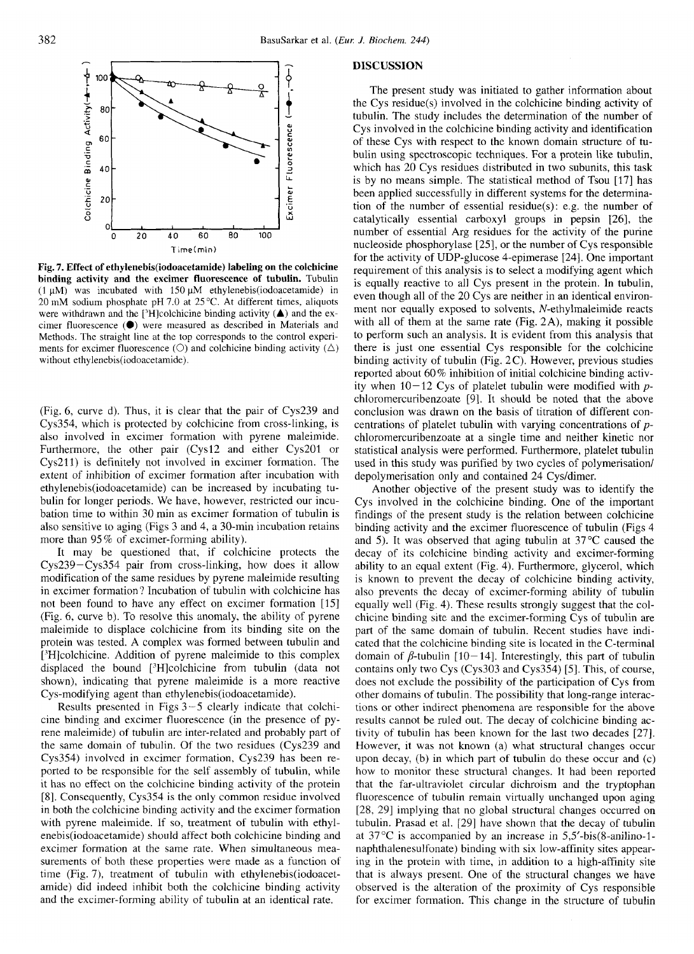

**Fig. 7. Effect of ethylenebis(iodoacetamide) binding activity and the excimer fluorescence of tubulin.** Tubulin  $(1 \mu M)$  was incubated with 150  $\mu$ M ethylenebis(iodoacetamide) in 20 mM sodium phosphate pH 7.0 at 25°C. At different times, aliquots Methods. The straight line at the top corresponds to the control experiments for excimer fluorescence ( $\bigcirc$ ) and colchicine binding activity ( $\bigtriangleup$ ) without **ethylenebis(iod0acetamide).** 

(Fig. 6, curve d). Thus, it is clear that the pair of Cys239 and Cys354, which is protected by colchicine from cross-linking, is also involved in excimer formation with pyrene maleimide. Furthermore, the other pair (Cysl2 and either Cys2Ol or Cys211) is definitely not involved in excimer formation. The extent of inhibition of excimer formation after incubation with **ethylenebis(iodoacetamide)** can be increased by incubating tubulin for longer periods. We have, however, restricted our incubation time to within 30 min as excimer formation of tubulin is also sensitive to aging (Figs 3 and 4, a 30-min incubation retains more than 95% of excimer-forming ability). Furthermore, the other pair (Cys12 and either Cys201 or statistical analysis were performed. Furthermore, platelet tubulin Cys211) is definitely not involved in excimer formation. The used in this study was purified by tw

It may be questioned that, if colchicine protects the Cys239-Cys354 pair from cross-linking, how does it allow modification of the same residues by pyrene maleimide resulting in excimer formation? Incubation of tubulin with colchicine has not been found to have any effect on excimer formation [IS] (Fig. 6, curve b). To resolve this anomaly, the ability of pyrene maleimide to displace colchicine from its binding site on the protein was tested. A complex was formed between tubulin and ['H]colchicine. Addition of pyrene maleimide to this complex displaced the bound ['H]colchicine from tubulin (data not shown), indicating that pyrene maleimide is a more reactive Cys-modifying agent than **ethylenebis(iod0acetamide).** 

Results presented in Figs 3 *-5* clearly indicate that colchicine binding and excimer fluorescence (in the presence of pyrene maleimide) of tubulin are inter-related and probably part of the same domain of tubulin. Of the two residues (Cys239 and Cys354) involved in excimer formation, Cys239 has been reported to be responsible for the self assembly of tubulin, while it has no effect on the colchicine binding activity of the protein [8]. Consequently, Cys354 is the only common residue involved in both the colchicine binding activity and the excimer formation with pyrene maleimide. If so, treatment of tubulin with ethylenebis(iod0acetamide) should affect both colchicine binding and excimer formation at the same rate. When simultaneous measurements of both these properties were made as a function of time (Fig. 7), treatment of tubulin with ethylenebis(iodoacetamide) did indeed inhibit both the colchicine binding activity and the excimer-forming ability of tubulin at an identical rate.

## **DISCUSSION**

**<sup>T</sup>irnefmin) zyxwvutsrqponmlkjihgfedcbaZYXWVUTSRQPONMLKJIHGFEDCBA labeling on the colchicine**  Fig. 7. Effect of ethylenebis(iodoacetamide) labeling on the colchicine<br>
for the activity of UDP-glucose 4-epimerase [24]. One important<br>
for the activity of UDP-glucose 4-epimerase [24]. One important<br>
requirement of thi Time(min)<br> **Example 1999** and the activity of UDP-gluorescence [24]. One important<br> **binding activity and the excimer fluorescence of tubulin.** Tubulin<br>
(1 $\mu$ M) was incubated with 150  $\mu$ M ethylenebis(iodoacetamide) in<br> The present study was initiated to gather information about the Cys residue(s) involved in the colchicine binding activity of tubulin. The study includes the determination of the number of Cys involved in the colchicine binding activity and identification of these Cys with respect to the known domain structure of tubulin using spectroscopic techniques. For a protein like tubulin, which has 20 Cys residues distributed in two subunits, this task is by no means simple. The statistical method of Tsou [17] has been applied successfully in different systems for the determination of the number of essential residue(s): e.g. the number of catalytically essential carboxyl groups in pepsin [26], the number of essential Arg residues for the activity of the purine nucleoside phosphorylase (251, or the number of Cys responsible for the activity of UDP-glucose 4-epimerase [24]. One important requirement of this analysis is to select a modifying agent which is equally reactive to all Cys present in the protein. In tubulin, even though all of the 20 Cys are neither in an identical environment nor equally exposed to solvents, N-ethylmaleimide reacts with all of them at the same rate (Fig. 2A), making it possible to perform such an analysis. It is evident from this analysis that there is just one essential Cys responsible for the colchicine binding activity of tubulin (Fig. 2C). However, previous studies reported about 60% inhibition of initial colchicine binding activity when 10-12 Cys of platelet tubulin were modified with *p*chloromercuribenzoate [9]. It should be noted that the above conclusion was drawn on the basis of titration of different concentrations of platelet tubulin with varying concentrations of *p*chloromercuribenzoate at a single time and neither kinetic nor statistical analysis were performed. Furthermore, platelet tubulin used in this study was purified by two cycles of polymerisation/ depolymerisation only and contained 24 Cys/dimer.

Another objective of the present study was to identify the Cys involved in the colchicine binding. One of the important findings of the present study is the relation between colchicine binding activity and the excimer fluorescence of tubulin (Figs 4 and *5).* It was observed that aging tubulin at 37°C caused the decay of its colchicine binding activity and excimer-forming ability to an equal extent (Fig. 4). Furthermore, glycerol, which is known to prevent the decay of colchicine binding activity, also prevents the decay of excimer-forming ability of tubulin equally well (Fig. 4). These results strongly suggest that the colchicine binding site and the excimer-forming Cys of tubulin are part of the same domain of tubulin. Recent studies have indicated that the colchicine binding site is located in the C-terminal domain of  $\beta$ -tubulin [10-14]. Interestingly, this part of tubulin contains only two Cys (Cys303 and Cys354) [5]. This, of course, also prevents the decay of excimer-forming ability of tubulin equally well (Fig. 4). These results strongly suggest that the colchicine binding site and the excimer-forming Cys of tubulin are part of the same domain of tu does not exclude the possibility of the participation of Cys from other domains of tubulin. The possibility that long-range interactions or other indirect phenomena are responsible for the above results cannot be ruled out. The decay of colchicine binding activity of tubulin has been known for the last two decades [27]. However, it was not known (a) what structural changes occur upon decay, (b) in which part of tubulin do these occur and (c) how to monitor these structural changes. It had been reported that the far-ultraviolet circular dichroism and the tryptophan fluorescence of tubulin remain virtually unchanged upon aging [28, 291 implying that no global structural changes occurred on tubulin. Prasad et al. [29] have shown that the decay of tubulin at  $37^{\circ}$ C is accompanied by an increase in  $5,5'-bis(8-anilino-1-)$ naphthalenesulfonate) binding with six low-affinity sites appearing in the protein with time, in addition to a high-affinity site that is always present. One of the structural changes we have observed is the alteration of the proximity of Cys responsible for excimer formation. This change in the structure of tubulin